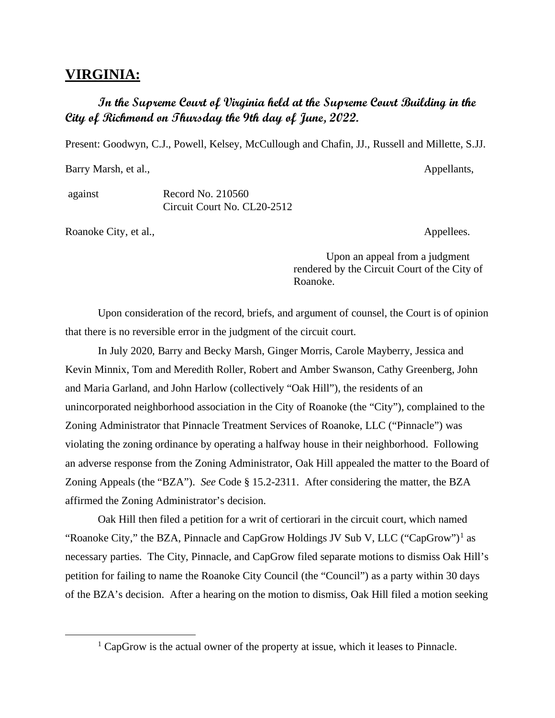## **VIRGINIA:**

## **In the Supreme Court of Virginia held at the Supreme Court Building in the City of Richmond on Thursday the 9th day of June, 2022.**

Present: Goodwyn, C.J., Powell, Kelsey, McCullough and Chafin, JJ., Russell and Millette, S.JJ.

Barry Marsh, et al., Appellants,

against Record No. 210560 Circuit Court No. CL20-2512

Roanoke City, et al., Appellees.

Upon an appeal from a judgment rendered by the Circuit Court of the City of Roanoke.

Upon consideration of the record, briefs, and argument of counsel, the Court is of opinion that there is no reversible error in the judgment of the circuit court.

In July 2020, Barry and Becky Marsh, Ginger Morris, Carole Mayberry, Jessica and Kevin Minnix, Tom and Meredith Roller, Robert and Amber Swanson, Cathy Greenberg, John and Maria Garland, and John Harlow (collectively "Oak Hill"), the residents of an unincorporated neighborhood association in the City of Roanoke (the "City"), complained to the Zoning Administrator that Pinnacle Treatment Services of Roanoke, LLC ("Pinnacle") was violating the zoning ordinance by operating a halfway house in their neighborhood. Following an adverse response from the Zoning Administrator, Oak Hill appealed the matter to the Board of Zoning Appeals (the "BZA"). *See* Code § 15.2-2311. After considering the matter, the BZA affirmed the Zoning Administrator's decision.

Oak Hill then filed a petition for a writ of certiorari in the circuit court, which named "Roanoke City," the BZA, Pinnacle and CapGrow Holdings JV Sub V, LLC ("CapGrow")<sup>[1](#page-0-0)</sup> as necessary parties. The City, Pinnacle, and CapGrow filed separate motions to dismiss Oak Hill's petition for failing to name the Roanoke City Council (the "Council") as a party within 30 days of the BZA's decision. After a hearing on the motion to dismiss, Oak Hill filed a motion seeking

<span id="page-0-0"></span> $1$  CapGrow is the actual owner of the property at issue, which it leases to Pinnacle.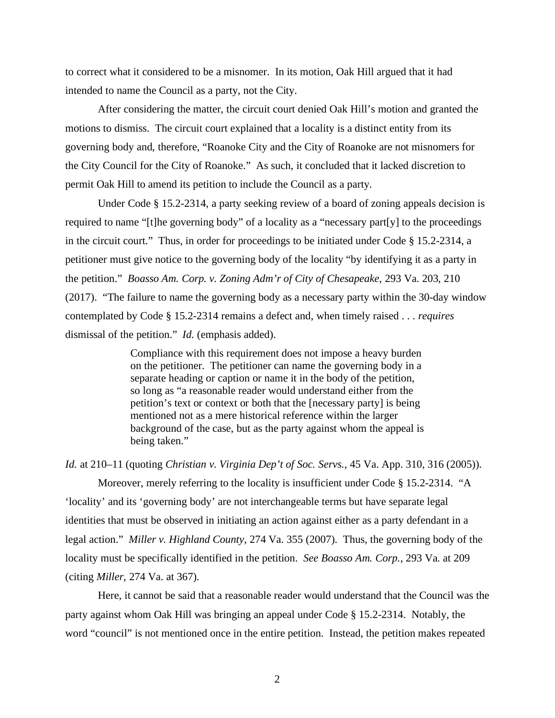to correct what it considered to be a misnomer. In its motion, Oak Hill argued that it had intended to name the Council as a party, not the City.

After considering the matter, the circuit court denied Oak Hill's motion and granted the motions to dismiss. The circuit court explained that a locality is a distinct entity from its governing body and, therefore, "Roanoke City and the City of Roanoke are not misnomers for the City Council for the City of Roanoke." As such, it concluded that it lacked discretion to permit Oak Hill to amend its petition to include the Council as a party.

Under Code § 15.2-2314, a party seeking review of a board of zoning appeals decision is required to name "[t]he governing body" of a locality as a "necessary part[y] to the proceedings in the circuit court." Thus, in order for proceedings to be initiated under Code § 15.2-2314, a petitioner must give notice to the governing body of the locality "by identifying it as a party in the petition." *Boasso Am. Corp. v. Zoning Adm'r of City of Chesapeake*, 293 Va. 203, 210 (2017). "The failure to name the governing body as a necessary party within the 30-day window contemplated by Code § 15.2-2314 remains a defect and, when timely raised . . . *requires* dismissal of the petition." *Id.* (emphasis added).

> Compliance with this requirement does not impose a heavy burden on the petitioner. The petitioner can name the governing body in a separate heading or caption or name it in the body of the petition, so long as "a reasonable reader would understand either from the petition's text or context or both that the [necessary party] is being mentioned not as a mere historical reference within the larger background of the case, but as the party against whom the appeal is being taken."

*Id.* at 210–11 (quoting *Christian v. Virginia Dep't of Soc. Servs.*, 45 Va. App. 310, 316 (2005)).

Moreover, merely referring to the locality is insufficient under Code § 15.2-2314. "A 'locality' and its 'governing body' are not interchangeable terms but have separate legal identities that must be observed in initiating an action against either as a party defendant in a legal action." *Miller v. Highland County*, 274 Va. 355 (2007). Thus, the governing body of the locality must be specifically identified in the petition. *See Boasso Am. Corp.*, 293 Va. at 209 (citing *Miller*, 274 Va. at 367).

Here, it cannot be said that a reasonable reader would understand that the Council was the party against whom Oak Hill was bringing an appeal under Code § 15.2-2314. Notably, the word "council" is not mentioned once in the entire petition. Instead, the petition makes repeated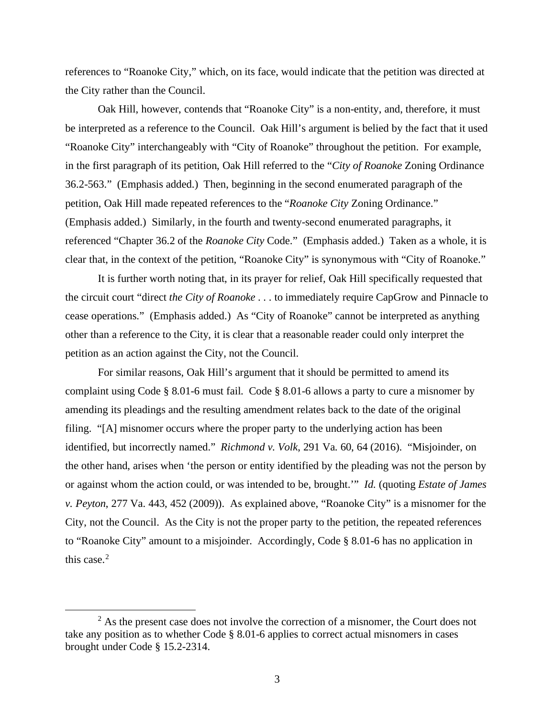references to "Roanoke City," which, on its face, would indicate that the petition was directed at the City rather than the Council.

Oak Hill, however, contends that "Roanoke City" is a non-entity, and, therefore, it must be interpreted as a reference to the Council. Oak Hill's argument is belied by the fact that it used "Roanoke City" interchangeably with "City of Roanoke" throughout the petition. For example, in the first paragraph of its petition, Oak Hill referred to the "*City of Roanoke* Zoning Ordinance 36.2-563." (Emphasis added.) Then, beginning in the second enumerated paragraph of the petition, Oak Hill made repeated references to the "*Roanoke City* Zoning Ordinance." (Emphasis added.) Similarly, in the fourth and twenty-second enumerated paragraphs, it referenced "Chapter 36.2 of the *Roanoke City* Code." (Emphasis added.) Taken as a whole, it is clear that, in the context of the petition, "Roanoke City" is synonymous with "City of Roanoke."

It is further worth noting that, in its prayer for relief, Oak Hill specifically requested that the circuit court "direct *the City of Roanoke* . . . to immediately require CapGrow and Pinnacle to cease operations." (Emphasis added.) As "City of Roanoke" cannot be interpreted as anything other than a reference to the City, it is clear that a reasonable reader could only interpret the petition as an action against the City, not the Council.

For similar reasons, Oak Hill's argument that it should be permitted to amend its complaint using Code § 8.01-6 must fail. Code § 8.01-6 allows a party to cure a misnomer by amending its pleadings and the resulting amendment relates back to the date of the original filing. "[A] misnomer occurs where the proper party to the underlying action has been identified, but incorrectly named." *Richmond v. Volk*, 291 Va. 60, 64 (2016). "Misjoinder, on the other hand, arises when 'the person or entity identified by the pleading was not the person by or against whom the action could, or was intended to be, brought.'" *Id.* (quoting *Estate of James v. Peyton*, 277 Va. 443, 452 (2009)). As explained above, "Roanoke City" is a misnomer for the City, not the Council. As the City is not the proper party to the petition, the repeated references to "Roanoke City" amount to a misjoinder. Accordingly, Code § 8.01-6 has no application in this case. $2$ 

<span id="page-2-0"></span> $2$  As the present case does not involve the correction of a misnomer, the Court does not take any position as to whether Code § 8.01-6 applies to correct actual misnomers in cases brought under Code § 15.2-2314.